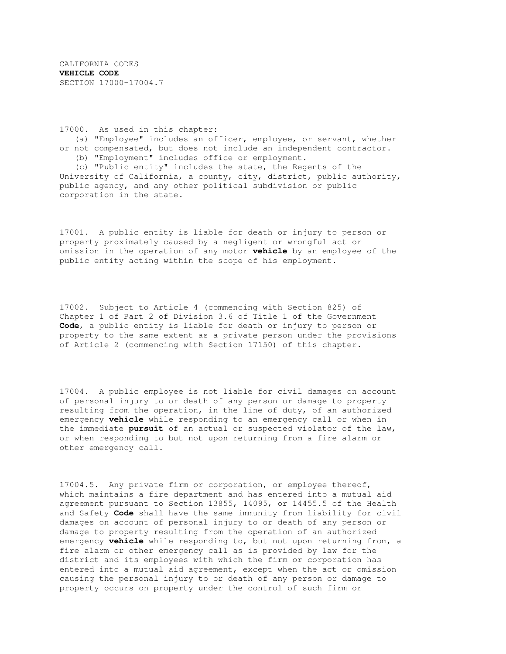CALIFORNIA CODES **VEHICLE CODE** SECTION 17000-17004.7

17000. As used in this chapter:

(a) "Employee" includes an officer, employee, or servant, whether or not compensated, but does not include an independent contractor.

(b) "Employment" includes office or employment.

(c) "Public entity" includes the state, the Regents of the University of California, a county, city, district, public authority, public agency, and any other political subdivision or public corporation in the state.

17001. A public entity is liable for death or injury to person or property proximately caused by a negligent or wrongful act or omission in the operation of any motor **vehicle** by an employee of the public entity acting within the scope of his employment.

17002. Subject to Article 4 (commencing with Section 825) of Chapter 1 of Part 2 of Division 3.6 of Title 1 of the Government **Code**, a public entity is liable for death or injury to person or property to the same extent as a private person under the provisions of Article 2 (commencing with Section 17150) of this chapter.

17004. A public employee is not liable for civil damages on account of personal injury to or death of any person or damage to property resulting from the operation, in the line of duty, of an authorized emergency **vehicle** while responding to an emergency call or when in the immediate **pursuit** of an actual or suspected violator of the law, or when responding to but not upon returning from a fire alarm or other emergency call.

17004.5. Any private firm or corporation, or employee thereof, which maintains a fire department and has entered into a mutual aid agreement pursuant to Section 13855, 14095, or 14455.5 of the Health and Safety **Code** shall have the same immunity from liability for civil damages on account of personal injury to or death of any person or damage to property resulting from the operation of an authorized emergency **vehicle** while responding to, but not upon returning from, a fire alarm or other emergency call as is provided by law for the district and its employees with which the firm or corporation has entered into a mutual aid agreement, except when the act or omission causing the personal injury to or death of any person or damage to property occurs on property under the control of such firm or